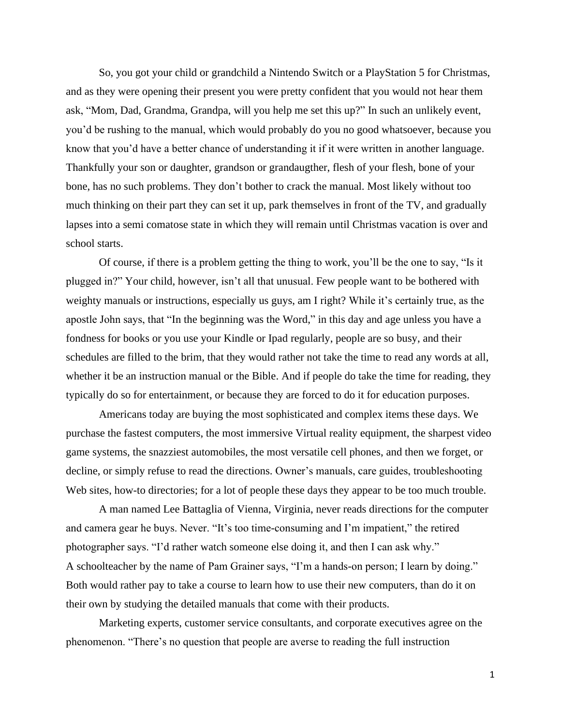So, you got your child or grandchild a Nintendo Switch or a PlayStation 5 for Christmas, and as they were opening their present you were pretty confident that you would not hear them ask, "Mom, Dad, Grandma, Grandpa, will you help me set this up?" In such an unlikely event, you'd be rushing to the manual, which would probably do you no good whatsoever, because you know that you'd have a better chance of understanding it if it were written in another language. Thankfully your son or daughter, grandson or grandaugther, flesh of your flesh, bone of your bone, has no such problems. They don't bother to crack the manual. Most likely without too much thinking on their part they can set it up, park themselves in front of the TV, and gradually lapses into a semi comatose state in which they will remain until Christmas vacation is over and school starts.

Of course, if there is a problem getting the thing to work, you'll be the one to say, "Is it plugged in?" Your child, however, isn't all that unusual. Few people want to be bothered with weighty manuals or instructions, especially us guys, am I right? While it's certainly true, as the apostle John says, that "In the beginning was the Word," in this day and age unless you have a fondness for books or you use your Kindle or Ipad regularly, people are so busy, and their schedules are filled to the brim, that they would rather not take the time to read any words at all, whether it be an instruction manual or the Bible. And if people do take the time for reading, they typically do so for entertainment, or because they are forced to do it for education purposes.

Americans today are buying the most sophisticated and complex items these days. We purchase the fastest computers, the most immersive Virtual reality equipment, the sharpest video game systems, the snazziest automobiles, the most versatile cell phones, and then we forget, or decline, or simply refuse to read the directions. Owner's manuals, care guides, troubleshooting Web sites, how-to directories; for a lot of people these days they appear to be too much trouble.

A man named Lee Battaglia of Vienna, Virginia, never reads directions for the computer and camera gear he buys. Never. "It's too time-consuming and I'm impatient," the retired photographer says. "I'd rather watch someone else doing it, and then I can ask why." A schoolteacher by the name of Pam Grainer says, "I'm a hands-on person; I learn by doing." Both would rather pay to take a course to learn how to use their new computers, than do it on their own by studying the detailed manuals that come with their products.

Marketing experts, customer service consultants, and corporate executives agree on the phenomenon. "There's no question that people are averse to reading the full instruction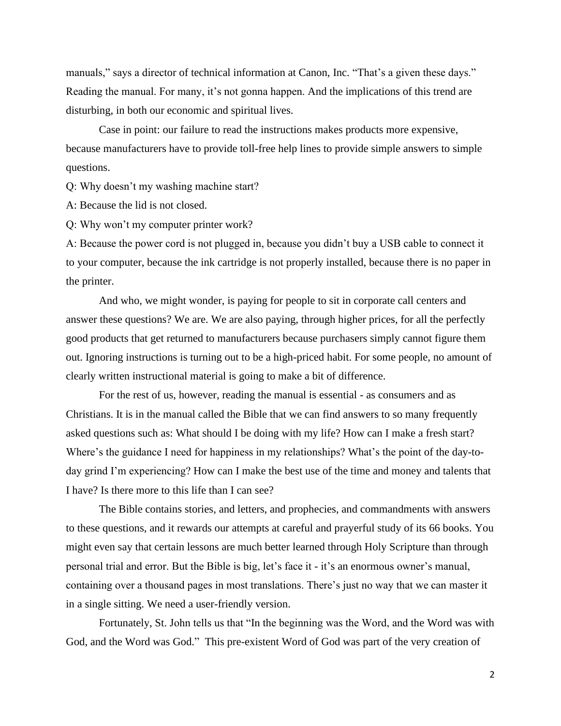manuals," says a director of technical information at Canon, Inc. "That's a given these days." Reading the manual. For many, it's not gonna happen. And the implications of this trend are disturbing, in both our economic and spiritual lives.

Case in point: our failure to read the instructions makes products more expensive, because manufacturers have to provide toll-free help lines to provide simple answers to simple questions.

Q: Why doesn't my washing machine start?

A: Because the lid is not closed.

Q: Why won't my computer printer work?

A: Because the power cord is not plugged in, because you didn't buy a USB cable to connect it to your computer, because the ink cartridge is not properly installed, because there is no paper in the printer.

And who, we might wonder, is paying for people to sit in corporate call centers and answer these questions? We are. We are also paying, through higher prices, for all the perfectly good products that get returned to manufacturers because purchasers simply cannot figure them out. Ignoring instructions is turning out to be a high-priced habit. For some people, no amount of clearly written instructional material is going to make a bit of difference.

For the rest of us, however, reading the manual is essential - as consumers and as Christians. It is in the manual called the Bible that we can find answers to so many frequently asked questions such as: What should I be doing with my life? How can I make a fresh start? Where's the guidance I need for happiness in my relationships? What's the point of the day-today grind I'm experiencing? How can I make the best use of the time and money and talents that I have? Is there more to this life than I can see?

The Bible contains stories, and letters, and prophecies, and commandments with answers to these questions, and it rewards our attempts at careful and prayerful study of its 66 books. You might even say that certain lessons are much better learned through Holy Scripture than through personal trial and error. But the Bible is big, let's face it - it's an enormous owner's manual, containing over a thousand pages in most translations. There's just no way that we can master it in a single sitting. We need a user-friendly version.

Fortunately, St. John tells us that "In the beginning was the Word, and the Word was with God, and the Word was God." This pre-existent Word of God was part of the very creation of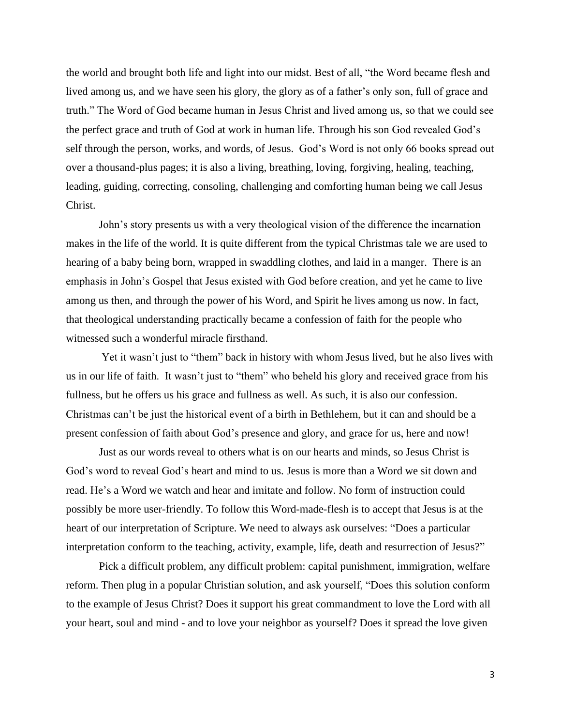the world and brought both life and light into our midst. Best of all, "the Word became flesh and lived among us, and we have seen his glory, the glory as of a father's only son, full of grace and truth." The Word of God became human in Jesus Christ and lived among us, so that we could see the perfect grace and truth of God at work in human life. Through his son God revealed God's self through the person, works, and words, of Jesus. God's Word is not only 66 books spread out over a thousand-plus pages; it is also a living, breathing, loving, forgiving, healing, teaching, leading, guiding, correcting, consoling, challenging and comforting human being we call Jesus Christ.

John's story presents us with a very theological vision of the difference the incarnation makes in the life of the world. It is quite different from the typical Christmas tale we are used to hearing of a baby being born, wrapped in swaddling clothes, and laid in a manger. There is an emphasis in John's Gospel that Jesus existed with God before creation, and yet he came to live among us then, and through the power of his Word, and Spirit he lives among us now. In fact, that theological understanding practically became a confession of faith for the people who witnessed such a wonderful miracle firsthand.

Yet it wasn't just to "them" back in history with whom Jesus lived, but he also lives with us in our life of faith. It wasn't just to "them" who beheld his glory and received grace from his fullness, but he offers us his grace and fullness as well. As such, it is also our confession. Christmas can't be just the historical event of a birth in Bethlehem, but it can and should be a present confession of faith about God's presence and glory, and grace for us, here and now!

Just as our words reveal to others what is on our hearts and minds, so Jesus Christ is God's word to reveal God's heart and mind to us. Jesus is more than a Word we sit down and read. He's a Word we watch and hear and imitate and follow. No form of instruction could possibly be more user-friendly. To follow this Word-made-flesh is to accept that Jesus is at the heart of our interpretation of Scripture. We need to always ask ourselves: "Does a particular interpretation conform to the teaching, activity, example, life, death and resurrection of Jesus?"

Pick a difficult problem, any difficult problem: capital punishment, immigration, welfare reform. Then plug in a popular Christian solution, and ask yourself, "Does this solution conform to the example of Jesus Christ? Does it support his great commandment to love the Lord with all your heart, soul and mind - and to love your neighbor as yourself? Does it spread the love given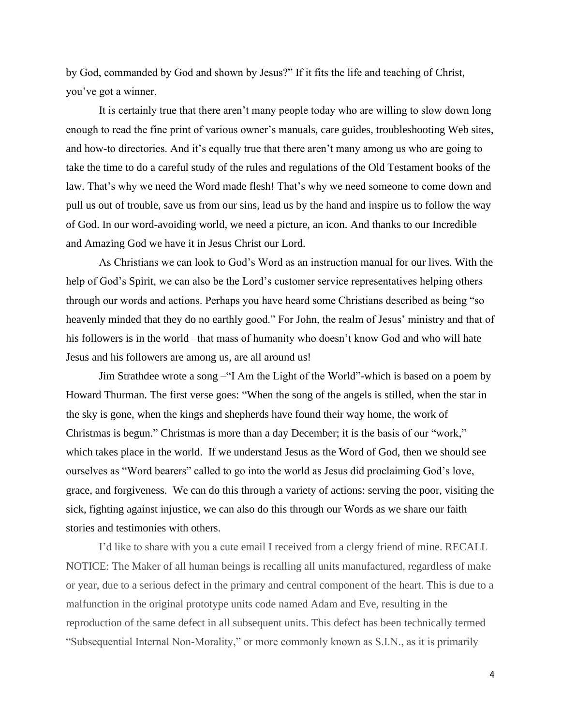by God, commanded by God and shown by Jesus?" If it fits the life and teaching of Christ, you've got a winner.

It is certainly true that there aren't many people today who are willing to slow down long enough to read the fine print of various owner's manuals, care guides, troubleshooting Web sites, and how-to directories. And it's equally true that there aren't many among us who are going to take the time to do a careful study of the rules and regulations of the Old Testament books of the law. That's why we need the Word made flesh! That's why we need someone to come down and pull us out of trouble, save us from our sins, lead us by the hand and inspire us to follow the way of God. In our word-avoiding world, we need a picture, an icon. And thanks to our Incredible and Amazing God we have it in Jesus Christ our Lord.

As Christians we can look to God's Word as an instruction manual for our lives. With the help of God's Spirit, we can also be the Lord's customer service representatives helping others through our words and actions. Perhaps you have heard some Christians described as being "so heavenly minded that they do no earthly good." For John, the realm of Jesus' ministry and that of his followers is in the world –that mass of humanity who doesn't know God and who will hate Jesus and his followers are among us, are all around us!

Jim Strathdee wrote a song –"I Am the Light of the World"-which is based on a poem by Howard Thurman. The first verse goes: "When the song of the angels is stilled, when the star in the sky is gone, when the kings and shepherds have found their way home, the work of Christmas is begun." Christmas is more than a day December; it is the basis of our "work," which takes place in the world. If we understand Jesus as the Word of God, then we should see ourselves as "Word bearers" called to go into the world as Jesus did proclaiming God's love, grace, and forgiveness. We can do this through a variety of actions: serving the poor, visiting the sick, fighting against injustice, we can also do this through our Words as we share our faith stories and testimonies with others.

I'd like to share with you a cute email I received from a clergy friend of mine. RECALL NOTICE: The Maker of all human beings is recalling all units manufactured, regardless of make or year, due to a serious defect in the primary and central component of the heart. This is due to a malfunction in the original prototype units code named Adam and Eve, resulting in the reproduction of the same defect in all subsequent units. This defect has been technically termed "Subsequential Internal Non-Morality," or more commonly known as S.I.N., as it is primarily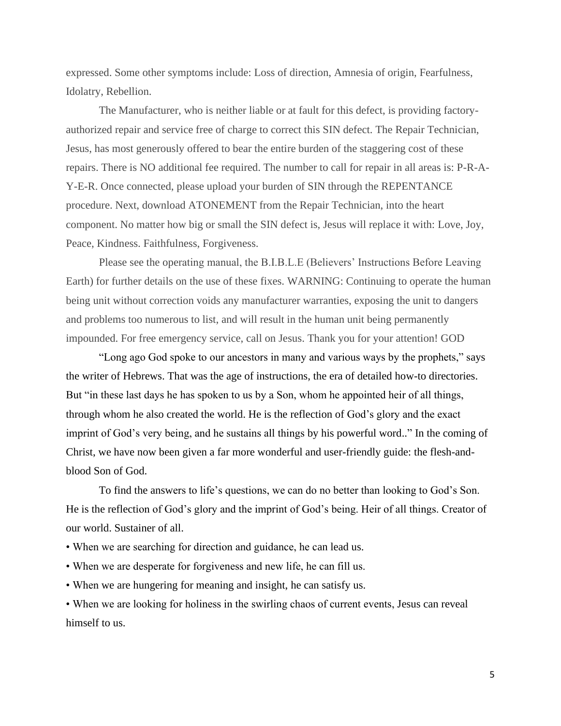expressed. Some other symptoms include: Loss of direction, Amnesia of origin, Fearfulness, Idolatry, Rebellion.

The Manufacturer, who is neither liable or at fault for this defect, is providing factoryauthorized repair and service free of charge to correct this SIN defect. The Repair Technician, Jesus, has most generously offered to bear the entire burden of the staggering cost of these repairs. There is NO additional fee required. The number to call for repair in all areas is: P-R-A-Y-E-R. Once connected, please upload your burden of SIN through the REPENTANCE procedure. Next, download ATONEMENT from the Repair Technician, into the heart component. No matter how big or small the SIN defect is, Jesus will replace it with: Love, Joy, Peace, Kindness. Faithfulness, Forgiveness.

Please see the operating manual, the B.I.B.L.E (Believers' Instructions Before Leaving Earth) for further details on the use of these fixes. WARNING: Continuing to operate the human being unit without correction voids any manufacturer warranties, exposing the unit to dangers and problems too numerous to list, and will result in the human unit being permanently impounded. For free emergency service, call on Jesus. Thank you for your attention! GOD

"Long ago God spoke to our ancestors in many and various ways by the prophets," says the writer of Hebrews. That was the age of instructions, the era of detailed how-to directories. But "in these last days he has spoken to us by a Son, whom he appointed heir of all things, through whom he also created the world. He is the reflection of God's glory and the exact imprint of God's very being, and he sustains all things by his powerful word.." In the coming of Christ, we have now been given a far more wonderful and user-friendly guide: the flesh-andblood Son of God.

To find the answers to life's questions, we can do no better than looking to God's Son. He is the reflection of God's glory and the imprint of God's being. Heir of all things. Creator of our world. Sustainer of all.

- When we are searching for direction and guidance, he can lead us.
- When we are desperate for forgiveness and new life, he can fill us.
- When we are hungering for meaning and insight, he can satisfy us.

• When we are looking for holiness in the swirling chaos of current events, Jesus can reveal himself to us.